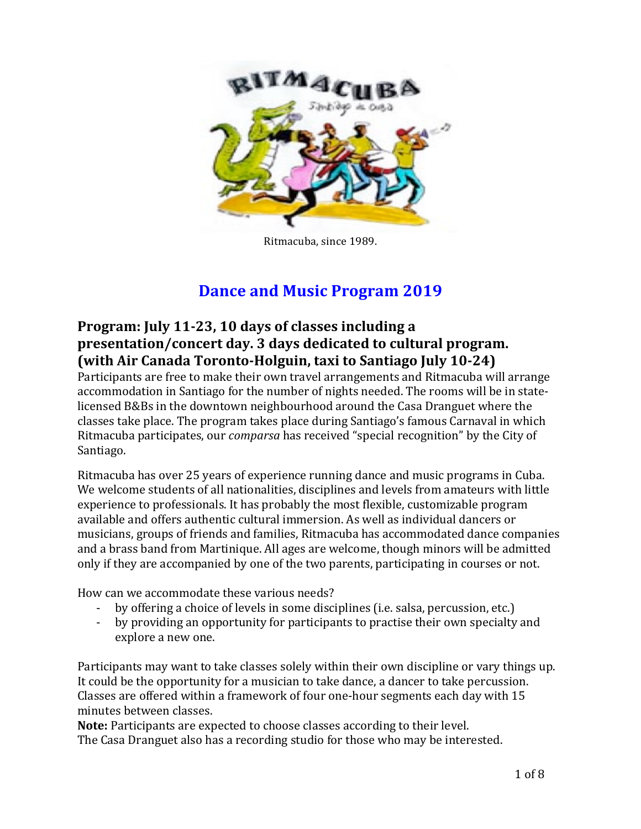

Ritmacuba, since 1989.

# **Dance and Music Program 2019**

# Program: July 11-23, 10 days of classes including a **presentation/concert day. 3 days dedicated to cultural program. (with Air Canada Toronto-Holguin, taxi to Santiago July 10-24)**

Participants are free to make their own travel arrangements and Ritmacuba will arrange accommodation in Santiago for the number of nights needed. The rooms will be in statelicensed B&Bs in the downtown neighbourhood around the Casa Dranguet where the classes take place. The program takes place during Santiago's famous Carnaval in which Ritmacuba participates, our *comparsa* has received "special recognition" by the City of Santiago.

Ritmacuba has over 25 years of experience running dance and music programs in Cuba. We welcome students of all nationalities, disciplines and levels from amateurs with little experience to professionals. It has probably the most flexible, customizable program available and offers authentic cultural immersion. As well as individual dancers or musicians, groups of friends and families, Ritmacuba has accommodated dance companies and a brass band from Martinique. All ages are welcome, though minors will be admitted only if they are accompanied by one of the two parents, participating in courses or not.

How can we accommodate these various needs?

- by offering a choice of levels in some disciplines (i.e. salsa, percussion, etc.)
- by providing an opportunity for participants to practise their own specialty and explore a new one.

Participants may want to take classes solely within their own discipline or vary things up. It could be the opportunity for a musician to take dance, a dancer to take percussion. Classes are offered within a framework of four one-hour segments each day with 15 minutes between classes.

**Note:** Participants are expected to choose classes according to their level. The Casa Dranguet also has a recording studio for those who may be interested.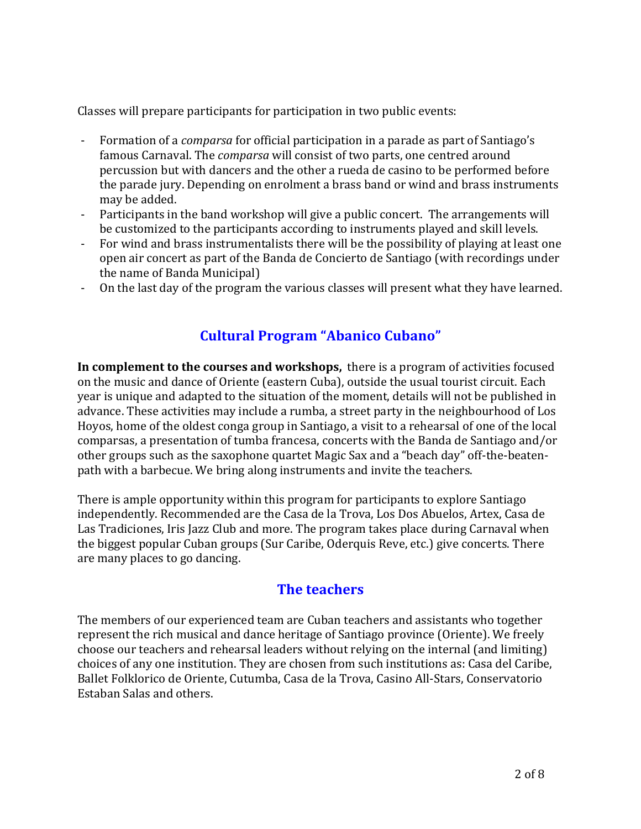Classes will prepare participants for participation in two public events:

- Formation of a *comparsa* for official participation in a parade as part of Santiago's famous Carnaval. The *comparsa* will consist of two parts, one centred around percussion but with dancers and the other a rueda de casino to be performed before the parade jury. Depending on enrolment a brass band or wind and brass instruments may be added.
- Participants in the band workshop will give a public concert. The arrangements will be customized to the participants according to instruments played and skill levels.
- For wind and brass instrumentalists there will be the possibility of playing at least one open air concert as part of the Banda de Concierto de Santiago (with recordings under the name of Banda Municipal)
- On the last day of the program the various classes will present what they have learned.

# **Cultural Program "Abanico Cubano"**

**In complement to the courses and workshops,** there is a program of activities focused on the music and dance of Oriente (eastern Cuba), outside the usual tourist circuit. Each year is unique and adapted to the situation of the moment, details will not be published in advance. These activities may include a rumba, a street party in the neighbourhood of Los Hoyos, home of the oldest conga group in Santiago, a visit to a rehearsal of one of the local comparsas, a presentation of tumba francesa, concerts with the Banda de Santiago and/or other groups such as the saxophone quartet Magic Sax and a "beach day" off-the-beatenpath with a barbecue. We bring along instruments and invite the teachers.

There is ample opportunity within this program for participants to explore Santiago independently. Recommended are the Casa de la Trova, Los Dos Abuelos, Artex, Casa de Las Tradiciones, Iris Jazz Club and more. The program takes place during Carnaval when the biggest popular Cuban groups (Sur Caribe, Oderquis Reve, etc.) give concerts. There are many places to go dancing.

# **The teachers**

The members of our experienced team are Cuban teachers and assistants who together represent the rich musical and dance heritage of Santiago province (Oriente). We freely choose our teachers and rehearsal leaders without relying on the internal (and limiting) choices of any one institution. They are chosen from such institutions as: Casa del Caribe, Ballet Folklorico de Oriente, Cutumba, Casa de la Trova, Casino All-Stars, Conservatorio Estaban Salas and others.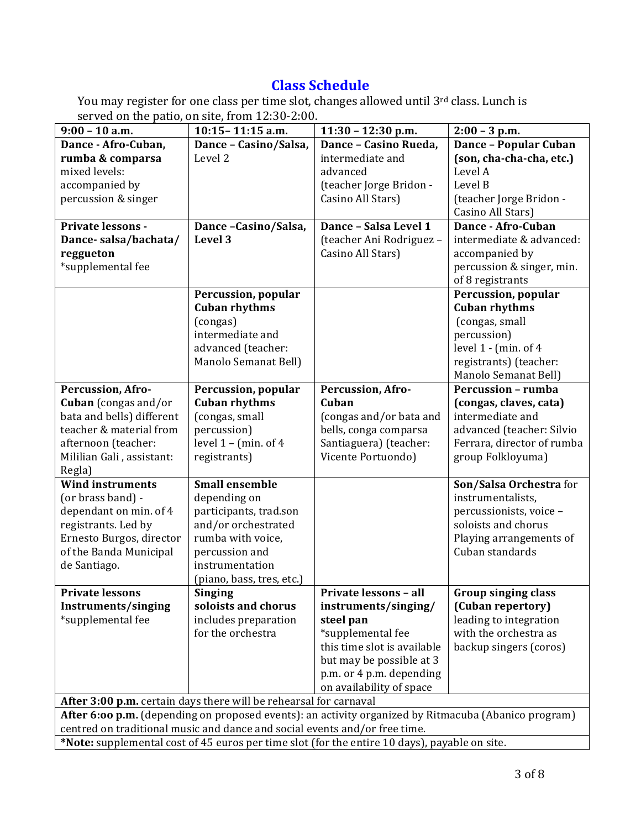# **Class Schedule**

You may register for one class per time slot, changes allowed until 3rd class. Lunch is served on the patio, on site, from  $12:30-2:00$ .

| $9:00 - 10$ a.m.                                                                                     | 10:15 - 11:15 a.m.                     | $11:30 - 12:30$ p.m.                         | $2:00 - 3$ p.m.                                         |  |  |  |  |
|------------------------------------------------------------------------------------------------------|----------------------------------------|----------------------------------------------|---------------------------------------------------------|--|--|--|--|
| Dance - Afro-Cuban,                                                                                  | Dance - Casino/Salsa,                  | Dance - Casino Rueda,                        | <b>Dance - Popular Cuban</b>                            |  |  |  |  |
| rumba & comparsa                                                                                     | Level 2                                | intermediate and                             | (son, cha-cha-cha, etc.)                                |  |  |  |  |
| mixed levels:                                                                                        |                                        | advanced                                     | Level A                                                 |  |  |  |  |
| accompanied by                                                                                       |                                        | (teacher Jorge Bridon -                      | Level B                                                 |  |  |  |  |
| percussion & singer                                                                                  |                                        | Casino All Stars)                            | (teacher Jorge Bridon -                                 |  |  |  |  |
|                                                                                                      |                                        |                                              | Casino All Stars)                                       |  |  |  |  |
| <b>Private lessons -</b>                                                                             | Dance-Casino/Salsa,                    | Dance - Salsa Level 1                        | Dance - Afro-Cuban                                      |  |  |  |  |
| Dance-salsa/bachata/                                                                                 | Level 3                                | (teacher Ani Rodriguez -                     | intermediate & advanced:                                |  |  |  |  |
| reggueton                                                                                            |                                        | Casino All Stars)                            | accompanied by                                          |  |  |  |  |
| *supplemental fee                                                                                    |                                        |                                              | percussion & singer, min.                               |  |  |  |  |
|                                                                                                      |                                        |                                              | of 8 registrants                                        |  |  |  |  |
|                                                                                                      | Percussion, popular                    |                                              | Percussion, popular                                     |  |  |  |  |
|                                                                                                      | <b>Cuban rhythms</b>                   |                                              | <b>Cuban rhythms</b>                                    |  |  |  |  |
|                                                                                                      | (congas)                               |                                              | (congas, small                                          |  |  |  |  |
|                                                                                                      | intermediate and                       |                                              | percussion)                                             |  |  |  |  |
|                                                                                                      | advanced (teacher:                     |                                              | level $1 - (min. of 4)$                                 |  |  |  |  |
|                                                                                                      | Manolo Semanat Bell)                   |                                              | registrants) (teacher:                                  |  |  |  |  |
|                                                                                                      |                                        |                                              | Manolo Semanat Bell)                                    |  |  |  |  |
| Percussion, Afro-                                                                                    | Percussion, popular                    | Percussion, Afro-                            | <b>Percussion - rumba</b>                               |  |  |  |  |
| Cuban (congas and/or                                                                                 | <b>Cuban rhythms</b>                   | Cuban                                        | (congas, claves, cata)<br>intermediate and              |  |  |  |  |
| bata and bells) different<br>teacher & material from                                                 | (congas, small                         | (congas and/or bata and                      |                                                         |  |  |  |  |
|                                                                                                      | percussion)<br>level $1 - (min. of 4)$ | bells, conga comparsa                        | advanced (teacher: Silvio<br>Ferrara, director of rumba |  |  |  |  |
| afternoon (teacher:                                                                                  | registrants)                           | Santiaguera) (teacher:<br>Vicente Portuondo) | group Folkloyuma)                                       |  |  |  |  |
| Mililian Gali, assistant:<br>Regla)                                                                  |                                        |                                              |                                                         |  |  |  |  |
| <b>Wind instruments</b>                                                                              | <b>Small ensemble</b>                  |                                              | Son/Salsa Orchestra for                                 |  |  |  |  |
| (or brass band) -                                                                                    | depending on                           |                                              | instrumentalists,                                       |  |  |  |  |
| dependant on min. of 4                                                                               | participants, trad.son                 |                                              | percussionists, voice -                                 |  |  |  |  |
| registrants. Led by                                                                                  | and/or orchestrated                    |                                              | soloists and chorus                                     |  |  |  |  |
| Ernesto Burgos, director                                                                             | rumba with voice,                      |                                              | Playing arrangements of                                 |  |  |  |  |
| of the Banda Municipal                                                                               | percussion and                         |                                              | Cuban standards                                         |  |  |  |  |
| de Santiago.                                                                                         | instrumentation                        |                                              |                                                         |  |  |  |  |
|                                                                                                      | (piano, bass, tres, etc.)              |                                              |                                                         |  |  |  |  |
| <b>Private lessons</b>                                                                               | <b>Singing</b>                         | Private lessons - all                        | <b>Group singing class</b>                              |  |  |  |  |
| Instruments/singing                                                                                  | soloists and chorus                    | instruments/singing/                         | (Cuban repertory)                                       |  |  |  |  |
| *supplemental fee                                                                                    | includes preparation                   | steel pan                                    | leading to integration                                  |  |  |  |  |
|                                                                                                      | for the orchestra                      | *supplemental fee                            | with the orchestra as                                   |  |  |  |  |
|                                                                                                      |                                        | this time slot is available                  | backup singers (coros)                                  |  |  |  |  |
|                                                                                                      |                                        | but may be possible at 3                     |                                                         |  |  |  |  |
|                                                                                                      |                                        | p.m. or 4 p.m. depending                     |                                                         |  |  |  |  |
|                                                                                                      |                                        | on availability of space                     |                                                         |  |  |  |  |
| After 3:00 p.m. certain days there will be rehearsal for carnaval                                    |                                        |                                              |                                                         |  |  |  |  |
| After 6:00 p.m. (depending on proposed events): an activity organized by Ritmacuba (Abanico program) |                                        |                                              |                                                         |  |  |  |  |
| centred on traditional music and dance and social events and/or free time.                           |                                        |                                              |                                                         |  |  |  |  |
| *Note: supplemental cost of 45 euros per time slot (for the entire 10 days), payable on site.        |                                        |                                              |                                                         |  |  |  |  |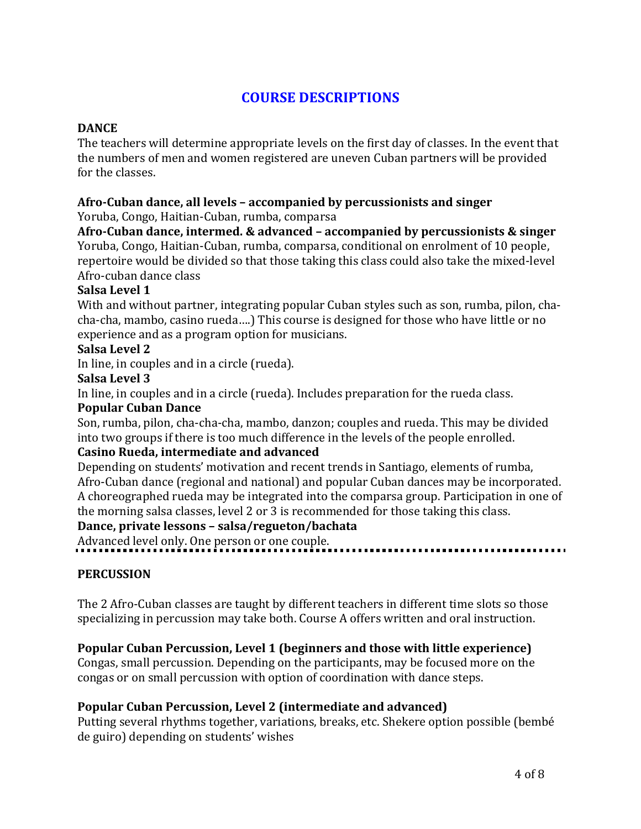# **COURSE DESCRIPTIONS**

#### **DANCE**

The teachers will determine appropriate levels on the first day of classes. In the event that the numbers of men and women registered are uneven Cuban partners will be provided for the classes.

# Afro-Cuban dance, all levels - accompanied by percussionists and singer

Yoruba, Congo, Haitian-Cuban, rumba, comparsa

Afro-Cuban dance, intermed. & advanced – accompanied by percussionists & singer

Yoruba, Congo, Haitian-Cuban, rumba, comparsa, conditional on enrolment of 10 people, repertoire would be divided so that those taking this class could also take the mixed-level Afro-cuban dance class

# Salsa Level 1

With and without partner, integrating popular Cuban styles such as son, rumba, pilon, chacha-cha, mambo, casino rueda....) This course is designed for those who have little or no experience and as a program option for musicians.

## **Salsa Level 2**

In line, in couples and in a circle (rueda).

#### **Salsa Level 3**

In line, in couples and in a circle (rueda). Includes preparation for the rueda class.

#### **Popular Cuban Dance**

Son, rumba, pilon, cha-cha-cha, mambo, danzon; couples and rueda. This may be divided into two groups if there is too much difference in the levels of the people enrolled.

## **Casino Rueda, intermediate and advanced**

Depending on students' motivation and recent trends in Santiago, elements of rumba, Afro-Cuban dance (regional and national) and popular Cuban dances may be incorporated. A choreographed rueda may be integrated into the comparsa group. Participation in one of the morning salsa classes, level 2 or 3 is recommended for those taking this class.

#### Dance, private lessons - salsa/regueton/bachata

Advanced level only. One person or one couple.

## **PERCUSSION**

The 2 Afro-Cuban classes are taught by different teachers in different time slots so those specializing in percussion may take both. Course A offers written and oral instruction.

## **Popular Cuban Percussion, Level 1 (beginners and those with little experience)**

Congas, small percussion. Depending on the participants, may be focused more on the congas or on small percussion with option of coordination with dance steps.

## **Popular Cuban Percussion, Level 2 (intermediate and advanced)**

Putting several rhythms together, variations, breaks, etc. Shekere option possible (bembé de guiro) depending on students' wishes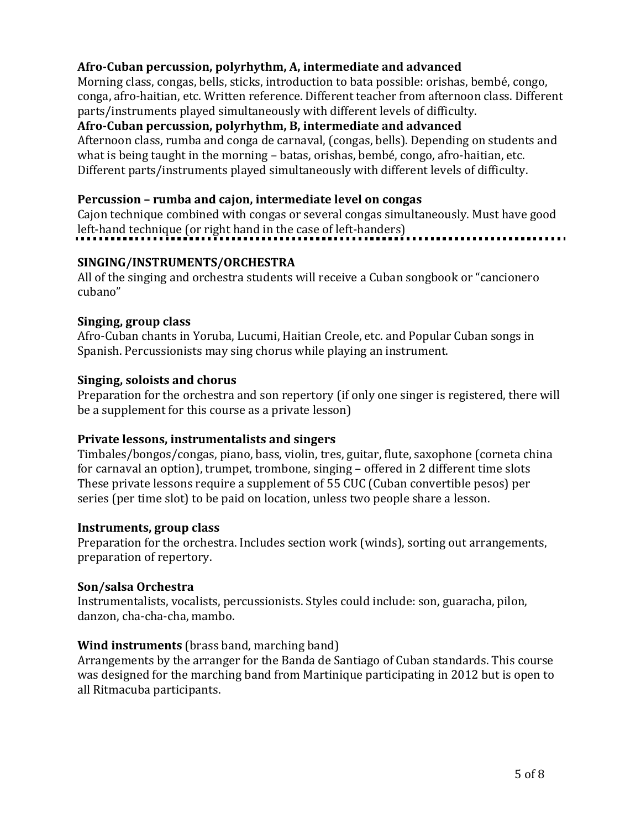# Afro-Cuban percussion, polyrhythm, A, intermediate and advanced

Morning class, congas, bells, sticks, introduction to bata possible: orishas, bembé, congo, conga, afro-haitian, etc. Written reference. Different teacher from afternoon class. Different parts/instruments played simultaneously with different levels of difficulty.

# Afro-Cuban percussion, polyrhythm, B, intermediate and advanced

Afternoon class, rumba and conga de carnaval, (congas, bells). Depending on students and what is being taught in the morning - batas, orishas, bembé, congo, afro-haitian, etc. Different parts/instruments played simultaneously with different levels of difficulty.

## **Percussion – rumba and cajon, intermediate level on congas**

Cajon technique combined with congas or several congas simultaneously. Must have good left-hand technique (or right hand in the case of left-handers)

## **SINGING/INSTRUMENTS/ORCHESTRA**

All of the singing and orchestra students will receive a Cuban songbook or "cancionero" cubano"

## **Singing, group class**

Afro-Cuban chants in Yoruba, Lucumi, Haitian Creole, etc. and Popular Cuban songs in Spanish. Percussionists may sing chorus while playing an instrument.

#### **Singing, soloists and chorus**

Preparation for the orchestra and son repertory (if only one singer is registered, there will be a supplement for this course as a private lesson)

## **Private lessons, instrumentalists and singers**

Timbales/bongos/congas, piano, bass, violin, tres, guitar, flute, saxophone (corneta china for carnaval an option), trumpet, trombone, singing  $-$  offered in 2 different time slots These private lessons require a supplement of 55 CUC (Cuban convertible pesos) per series (per time slot) to be paid on location, unless two people share a lesson.

#### **Instruments, group class**

Preparation for the orchestra. Includes section work (winds), sorting out arrangements, preparation of repertory.

## **Son/salsa Orchestra**

Instrumentalists, vocalists, percussionists. Styles could include: son, guaracha, pilon, danzon, cha-cha-cha, mambo.

#### **Wind instruments** (brass band, marching band)

Arrangements by the arranger for the Banda de Santiago of Cuban standards. This course was designed for the marching band from Martinique participating in 2012 but is open to all Ritmacuba participants.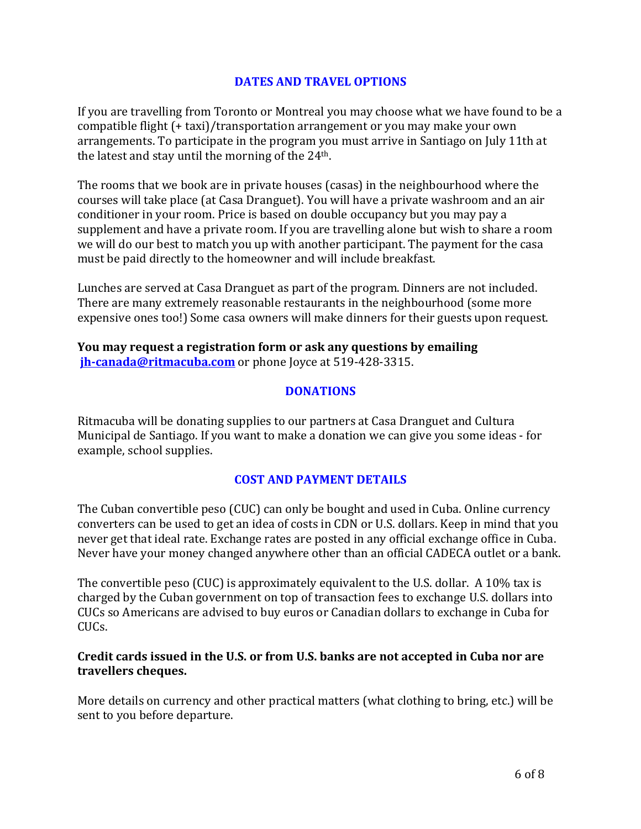#### **DATES AND TRAVEL OPTIONS**

If you are travelling from Toronto or Montreal you may choose what we have found to be a compatible flight  $(+\text{ taxi})$ /transportation arrangement or you may make your own arrangements. To participate in the program you must arrive in Santiago on July 11th at the latest and stay until the morning of the  $24<sup>th</sup>$ .

The rooms that we book are in private houses (casas) in the neighbourhood where the courses will take place (at Casa Dranguet). You will have a private washroom and an air conditioner in your room. Price is based on double occupancy but you may pay a supplement and have a private room. If you are travelling alone but wish to share a room we will do our best to match you up with another participant. The payment for the casa must be paid directly to the homeowner and will include breakfast.

Lunches are served at Casa Dranguet as part of the program. Dinners are not included. There are many extremely reasonable restaurants in the neighbourhood (some more expensive ones too!) Some casa owners will make dinners for their guests upon request.

**You may request a registration form or ask any questions by emailing jh-canada@ritmacuba.com** or phone loyce at 519-428-3315.

#### **DONATIONS**

Ritmacuba will be donating supplies to our partners at Casa Dranguet and Cultura Municipal de Santiago. If you want to make a donation we can give you some ideas - for example, school supplies.

#### **COST AND PAYMENT DETAILS**

The Cuban convertible peso (CUC) can only be bought and used in Cuba. Online currency converters can be used to get an idea of costs in CDN or U.S. dollars. Keep in mind that you never get that ideal rate. Exchange rates are posted in any official exchange office in Cuba. Never have your money changed anywhere other than an official CADECA outlet or a bank.

The convertible peso (CUC) is approximately equivalent to the U.S. dollar. A 10% tax is charged by the Cuban government on top of transaction fees to exchange U.S. dollars into CUCs so Americans are advised to buy euros or Canadian dollars to exchange in Cuba for CUCs.

#### Credit cards issued in the U.S. or from U.S. banks are not accepted in Cuba nor are **travellers cheques.**

More details on currency and other practical matters (what clothing to bring, etc.) will be sent to you before departure.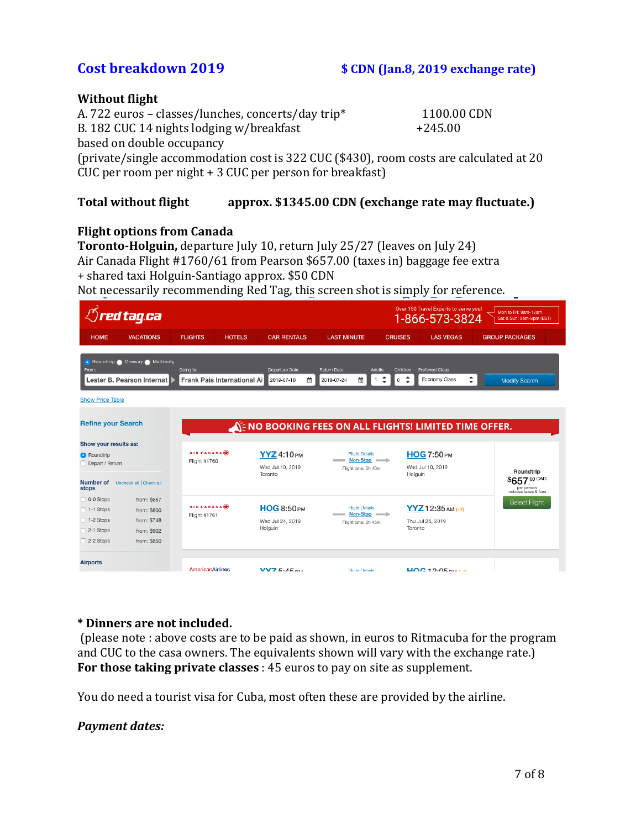# **Cost breakdown 2019 \$** CDN **(Jan.8, 2019** exchange rate)

#### **Without flight**

A. 722 euros – classes/lunches, concerts/day trip\* 1100.00 CDN B. 182 CUC 14 nights lodging w/breakfast  $+245.00$ based on double occupancy (private/single accommodation cost is 322 CUC (\$430), room costs are calculated at 20  $CUC$  per room per night  $+3$  CUC per person for breakfast)

#### **Total without flight approx.** \$1345.00 CDN (exchange rate may fluctuate.)

## **Flight options from Canada**

**Toronto-Holguin,** departure July 10, return July 25/27 (leaves on July 24) Air Canada Flight #1760/61 from Pearson \$657.00 (taxes in) baggage fee extra + shared taxi Holguin-Santiago approx. \$50 CDN

Not necessarily recommending Red Tag, this screen shot is simply for reference.

| Over 150 Travel Experts to serve you!<br><b><i>Ared tag.ca</i></b><br>Mon to Fri: 9am-12am<br>1-866-573-3824<br>Sat & Sun: 9am-8pm (EST)                                                                                                                                                                                                                                         |                                                                         |                                   |                                                   |                                                                                              |                                                    |                                                      |  |  |
|----------------------------------------------------------------------------------------------------------------------------------------------------------------------------------------------------------------------------------------------------------------------------------------------------------------------------------------------------------------------------------|-------------------------------------------------------------------------|-----------------------------------|---------------------------------------------------|----------------------------------------------------------------------------------------------|----------------------------------------------------|------------------------------------------------------|--|--|
| <b>HOME</b>                                                                                                                                                                                                                                                                                                                                                                      | <b>VACATIONS</b>                                                        | <b>FLIGHTS</b>                    | <b>HOTELS</b><br><b>CAR RENTALS</b>               | <b>LAST MINUTE</b>                                                                           | <b>CRUISES</b><br><b>LAS VEGAS</b>                 | <b>GROUP PACKAGES</b>                                |  |  |
| <b>Conduction</b> Oneway Multi-city<br>From:<br>Going to:<br>Departure Date<br>Return Date<br>Adults<br><b>Preferred Class</b><br>Children<br>÷<br>÷<br>$\hat{\mathbf{z}}$<br>≝<br>Frank Pais International Ai<br>簂<br>$\mathbf{1}$<br>Economy Class<br>Lester B. Pearson Internat<br>2019-07-10<br>2019-07-24<br>$\mathbf 0$<br><b>Modify Search</b><br><b>Show Price Table</b> |                                                                         |                                   |                                                   |                                                                                              |                                                    |                                                      |  |  |
| <b>Refine your Search</b><br>NE NO BOOKING FEES ON ALL FLIGHTS! LIMITED TIME OFFER.<br>Show your results as:                                                                                                                                                                                                                                                                     |                                                                         |                                   |                                                   |                                                                                              |                                                    |                                                      |  |  |
| <b>O</b> Roundtrip<br>Depart / Return<br><b>Number of</b>                                                                                                                                                                                                                                                                                                                        | Uncheck all Check all                                                   | AIR CANADA<br>Flight #1760        | <b>YYZ</b> 4:10PM<br>Wed Jul 10, 2019<br>Toronto  | <b>Flight Details</b><br>Non-Stop -<br>Flight time: 3h 40m                                   | <b>HOG 7:50 PM</b><br>Wed Jul 10, 2019<br>Holguin  | Roundtrip<br>\$657.00 CAD                            |  |  |
| stops<br>$\Box$ 0-0 Stops<br>$\Box$ 1-1 Stops<br>□ 1-2 Stops<br>$\Box$ 2-1 Stops<br>$\Box$ 2-2 Stops                                                                                                                                                                                                                                                                             | from: \$657<br>from: \$800<br>from: \$748<br>from: \$902<br>from: \$850 | <b>AIR CANADA</b><br>Flight #1761 | <b>HOG 8:50 PM</b><br>Wed Jul 24, 2019<br>Holguin | <b>Flight Details</b><br>$\longrightarrow$ Non-Stop $\longrightarrow$<br>Flight time: 3h 45m | $YYZ$ 12:35 AM (+1)<br>Thu Jul 25, 2019<br>Toronto | per person<br>includes taxes & fees<br>Select Flight |  |  |
| <b>Airports</b>                                                                                                                                                                                                                                                                                                                                                                  |                                                                         | <b>AmericanAirlines</b>           | VVZ5.45                                           | <b>Flight Details</b>                                                                        | $U OC 19.05 21.2.3$                                |                                                      |  |  |

#### **\* Dinners are not included.**

(please note : above costs are to be paid as shown, in euros to Ritmacuba for the program and CUC to the casa owners. The equivalents shown will vary with the exchange rate.) **For those taking private classes** : 45 euros to pay on site as supplement.

You do need a tourist visa for Cuba, most often these are provided by the airline.

## *Payment dates:*